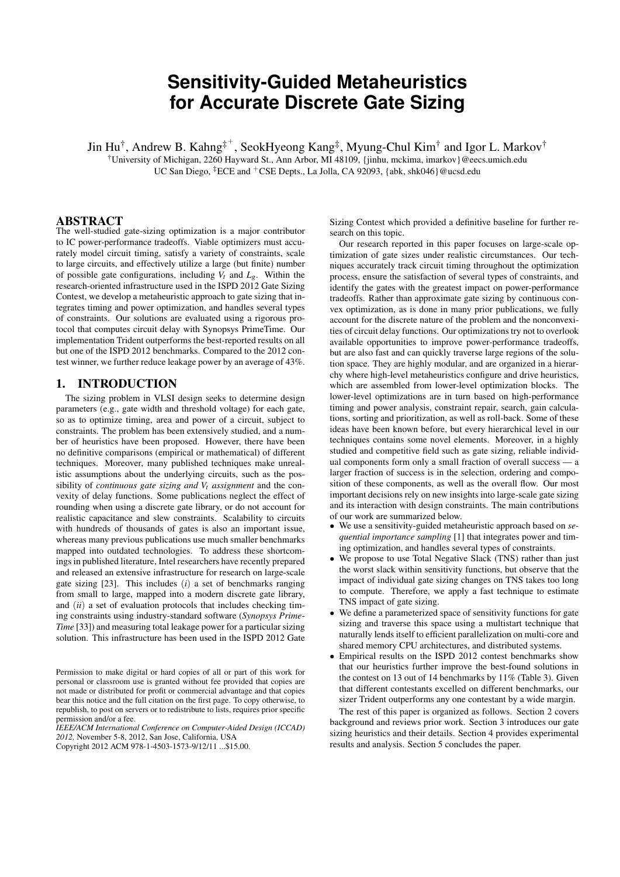# **Sensitivity-Guided Metaheuristics for Accurate Discrete Gate Sizing**

Jin Hu $^\dagger$ , Andrew B. Kahng $^{\ddagger^+}$ , SeokHyeong Kang $^\ddagger$ , Myung-Chul Kim $^\dagger$  and Igor L. Markov $^\dagger$ 

†University of Michigan, 2260 Hayward St., Ann Arbor, MI 48109, {jinhu, mckima, imarkov}@eecs.umich.edu

UC San Diego, <sup>‡</sup>ECE and <sup>+</sup>CSE Depts., La Jolla, CA 92093, {abk, shk046}@ucsd.edu

#### ABSTRACT

The well-studied gate-sizing optimization is a major contributor to IC power-performance tradeoffs. Viable optimizers must accurately model circuit timing, satisfy a variety of constraints, scale to large circuits, and effectively utilize a large (but finite) number of possible gate configurations, including  $V_t$  and  $L_g$ . Within the research-oriented infrastructure used in the ISPD 2012 Gate Sizing Contest, we develop a metaheuristic approach to gate sizing that integrates timing and power optimization, and handles several types of constraints. Our solutions are evaluated using a rigorous protocol that computes circuit delay with Synopsys PrimeTime. Our implementation Trident outperforms the best-reported results on all but one of the ISPD 2012 benchmarks. Compared to the 2012 contest winner, we further reduce leakage power by an average of 43%.

# 1. INTRODUCTION

The sizing problem in VLSI design seeks to determine design parameters (e.g., gate width and threshold voltage) for each gate, so as to optimize timing, area and power of a circuit, subject to constraints. The problem has been extensively studied, and a number of heuristics have been proposed. However, there have been no definitive comparisons (empirical or mathematical) of different techniques. Moreover, many published techniques make unrealistic assumptions about the underlying circuits, such as the possibility of *continuous gate sizing and Vt assignment* and the convexity of delay functions. Some publications neglect the effect of rounding when using a discrete gate library, or do not account for realistic capacitance and slew constraints. Scalability to circuits with hundreds of thousands of gates is also an important issue, whereas many previous publications use much smaller benchmarks mapped into outdated technologies. To address these shortcomings in published literature, Intel researchers have recently prepared and released an extensive infrastructure for research on large-scale gate sizing [23]. This includes (*i*) a set of benchmarks ranging from small to large, mapped into a modern discrete gate library, and (*ii*) a set of evaluation protocols that includes checking timing constraints using industry-standard software (*Synopsys Prime-Time* [33]) and measuring total leakage power for a particular sizing solution. This infrastructure has been used in the ISPD 2012 Gate

*IEEE/ACM International Conference on Computer-Aided Design (ICCAD) 2012,* November 5-8, 2012, San Jose, California, USA

Sizing Contest which provided a definitive baseline for further research on this topic.

Our research reported in this paper focuses on large-scale optimization of gate sizes under realistic circumstances. Our techniques accurately track circuit timing throughout the optimization process, ensure the satisfaction of several types of constraints, and identify the gates with the greatest impact on power-performance tradeoffs. Rather than approximate gate sizing by continuous convex optimization, as is done in many prior publications, we fully account for the discrete nature of the problem and the nonconvexities of circuit delay functions. Our optimizations try not to overlook available opportunities to improve power-performance tradeoffs, but are also fast and can quickly traverse large regions of the solution space. They are highly modular, and are organized in a hierarchy where high-level metaheuristics configure and drive heuristics, which are assembled from lower-level optimization blocks. The lower-level optimizations are in turn based on high-performance timing and power analysis, constraint repair, search, gain calculations, sorting and prioritization, as well as roll-back. Some of these ideas have been known before, but every hierarchical level in our techniques contains some novel elements. Moreover, in a highly studied and competitive field such as gate sizing, reliable individual components form only a small fraction of overall success — a larger fraction of success is in the selection, ordering and composition of these components, as well as the overall flow. Our most important decisions rely on new insights into large-scale gate sizing and its interaction with design constraints. The main contributions of our work are summarized below.

- We use a sensitivity-guided metaheuristic approach based on *sequential importance sampling* [1] that integrates power and timing optimization, and handles several types of constraints.
- We propose to use Total Negative Slack (TNS) rather than just the worst slack within sensitivity functions, but observe that the impact of individual gate sizing changes on TNS takes too long to compute. Therefore, we apply a fast technique to estimate TNS impact of gate sizing.
- We define a parameterized space of sensitivity functions for gate sizing and traverse this space using a multistart technique that naturally lends itself to efficient parallelization on multi-core and shared memory CPU architectures, and distributed systems.
- Empirical results on the ISPD 2012 contest benchmarks show that our heuristics further improve the best-found solutions in the contest on 13 out of 14 benchmarks by 11% (Table 3). Given that different contestants excelled on different benchmarks, our sizer Trident outperforms any one contestant by a wide margin.

The rest of this paper is organized as follows. Section 2 covers background and reviews prior work. Section 3 introduces our gate sizing heuristics and their details. Section 4 provides experimental results and analysis. Section 5 concludes the paper.

Permission to make digital or hard copies of all or part of this work for personal or classroom use is granted without fee provided that copies are not made or distributed for profit or commercial advantage and that copies bear this notice and the full citation on the first page. To copy otherwise, to republish, to post on servers or to redistribute to lists, requires prior specific permission and/or a fee.

Copyright 2012 ACM 978-1-4503-1573-9/12/11 ...\$15.00.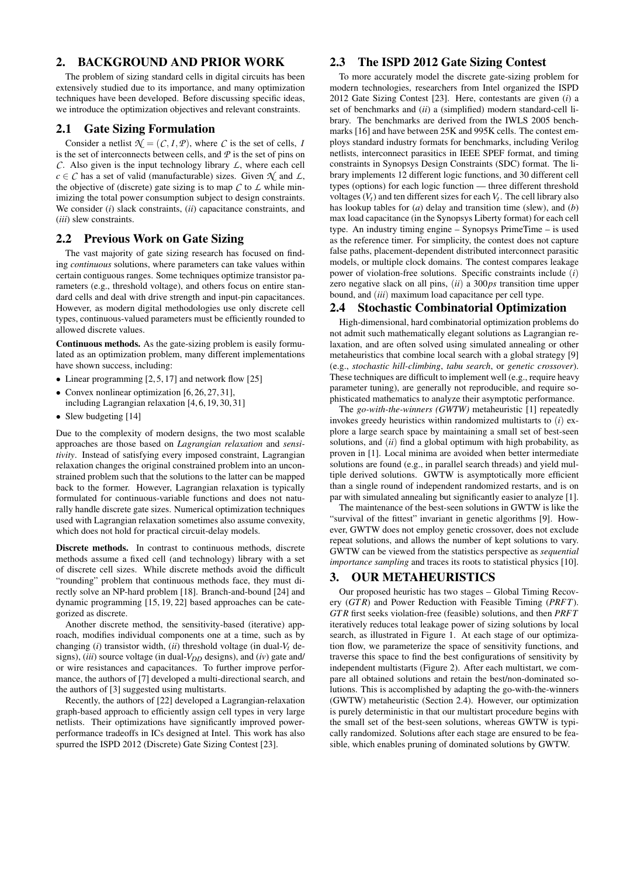# 2. BACKGROUND AND PRIOR WORK

The problem of sizing standard cells in digital circuits has been extensively studied due to its importance, and many optimization techniques have been developed. Before discussing specific ideas, we introduce the optimization objectives and relevant constraints.

#### 2.1 Gate Sizing Formulation

Consider a netlist  $\mathcal{N} = (\mathcal{C}, I, \mathcal{P})$ , where  $\mathcal C$  is the set of cells, *I* is the set of interconnects between cells, and *P* is the set of pins on *C*. Also given is the input technology library *L*, where each cell  $c \in \mathcal{C}$  has a set of valid (manufacturable) sizes. Given  $\mathcal{N}$  and  $\mathcal{L}$ , the objective of (discrete) gate sizing is to map  $C$  to  $\mathcal L$  while minimizing the total power consumption subject to design constraints. We consider (*i*) slack constraints, (*ii*) capacitance constraints, and (*iii*) slew constraints.

### 2.2 Previous Work on Gate Sizing

The vast majority of gate sizing research has focused on finding *continuous* solutions, where parameters can take values within certain contiguous ranges. Some techniques optimize transistor parameters (e.g., threshold voltage), and others focus on entire standard cells and deal with drive strength and input-pin capacitances. However, as modern digital methodologies use only discrete cell types, continuous-valued parameters must be efficiently rounded to allowed discrete values.

Continuous methods. As the gate-sizing problem is easily formulated as an optimization problem, many different implementations have shown success, including:

- Linear programming [2, 5, 17] and network flow [25]
- Convex nonlinear optimization [6, 26, 27, 31].
- including Lagrangian relaxation [4, 6, 19, 30, 31]
- Slew budgeting [14]

Due to the complexity of modern designs, the two most scalable approaches are those based on *Lagrangian relaxation* and *sensitivity*. Instead of satisfying every imposed constraint, Lagrangian relaxation changes the original constrained problem into an unconstrained problem such that the solutions to the latter can be mapped back to the former. However, Lagrangian relaxation is typically formulated for continuous-variable functions and does not naturally handle discrete gate sizes. Numerical optimization techniques used with Lagrangian relaxation sometimes also assume convexity, which does not hold for practical circuit-delay models.

Discrete methods. In contrast to continuous methods, discrete methods assume a fixed cell (and technology) library with a set of discrete cell sizes. While discrete methods avoid the difficult "rounding" problem that continuous methods face, they must directly solve an NP-hard problem [18]. Branch-and-bound [24] and dynamic programming [15, 19, 22] based approaches can be categorized as discrete.

Another discrete method, the sensitivity-based (iterative) approach, modifies individual components one at a time, such as by changing (*i*) transistor width, (*ii*) threshold voltage (in dual-*Vt* designs), (*iii*) source voltage (in dual-*VDD* designs), and (*iv*) gate and/ or wire resistances and capacitances. To further improve performance, the authors of [7] developed a multi-directional search, and the authors of [3] suggested using multistarts.

Recently, the authors of [22] developed a Lagrangian-relaxation graph-based approach to efficiently assign cell types in very large netlists. Their optimizations have significantly improved powerperformance tradeoffs in ICs designed at Intel. This work has also spurred the ISPD 2012 (Discrete) Gate Sizing Contest [23].

# 2.3 The ISPD 2012 Gate Sizing Contest

To more accurately model the discrete gate-sizing problem for modern technologies, researchers from Intel organized the ISPD 2012 Gate Sizing Contest [23]. Here, contestants are given (*i*) a set of benchmarks and (*ii*) a (simplified) modern standard-cell library. The benchmarks are derived from the IWLS 2005 benchmarks [16] and have between 25K and 995K cells. The contest employs standard industry formats for benchmarks, including Verilog netlists, interconnect parasitics in IEEE SPEF format, and timing constraints in Synopsys Design Constraints (SDC) format. The library implements 12 different logic functions, and 30 different cell types (options) for each logic function — three different threshold voltages  $(V_t)$  and ten different sizes for each  $V_t$ . The cell library also has lookup tables for (*a*) delay and transition time (slew), and (*b*) max load capacitance (in the Synopsys Liberty format) for each cell type. An industry timing engine – Synopsys PrimeTime – is used as the reference timer. For simplicity, the contest does not capture false paths, placement-dependent distributed interconnect parasitic models, or multiple clock domains. The contest compares leakage power of violation-free solutions. Specific constraints include (*i*) zero negative slack on all pins, (*ii*) a 300*ps* transition time upper bound, and (*iii*) maximum load capacitance per cell type.

#### 2.4 Stochastic Combinatorial Optimization

High-dimensional, hard combinatorial optimization problems do not admit such mathematically elegant solutions as Lagrangian relaxation, and are often solved using simulated annealing or other metaheuristics that combine local search with a global strategy [9] (e.g., *stochastic hill-climbing*, *tabu search*, or *genetic crossover*). These techniques are difficult to implement well (e.g., require heavy parameter tuning), are generally not reproducible, and require sophisticated mathematics to analyze their asymptotic performance.

The *go-with-the-winners (GWTW)* metaheuristic [1] repeatedly invokes greedy heuristics within randomized multistarts to (*i*) explore a large search space by maintaining a small set of best-seen solutions, and (*ii*) find a global optimum with high probability, as proven in [1]. Local minima are avoided when better intermediate solutions are found (e.g., in parallel search threads) and yield multiple derived solutions. GWTW is asymptotically more efficient than a single round of independent randomized restarts, and is on par with simulated annealing but significantly easier to analyze [1].

The maintenance of the best-seen solutions in GWTW is like the "survival of the fittest" invariant in genetic algorithms [9]. However, GWTW does not employ genetic crossover, does not exclude repeat solutions, and allows the number of kept solutions to vary. GWTW can be viewed from the statistics perspective as *sequential importance sampling* and traces its roots to statistical physics [10].

# 3. OUR METAHEURISTICS

Our proposed heuristic has two stages – Global Timing Recovery (*GT R*) and Power Reduction with Feasible Timing (*PRFT*). *GT R* first seeks violation-free (feasible) solutions, and then *PRFT* iteratively reduces total leakage power of sizing solutions by local search, as illustrated in Figure 1. At each stage of our optimization flow, we parameterize the space of sensitivity functions, and traverse this space to find the best configurations of sensitivity by independent multistarts (Figure 2). After each multistart, we compare all obtained solutions and retain the best/non-dominated solutions. This is accomplished by adapting the go-with-the-winners (GWTW) metaheuristic (Section 2.4). However, our optimization is purely deterministic in that our multistart procedure begins with the small set of the best-seen solutions, whereas GWTW is typically randomized. Solutions after each stage are ensured to be feasible, which enables pruning of dominated solutions by GWTW.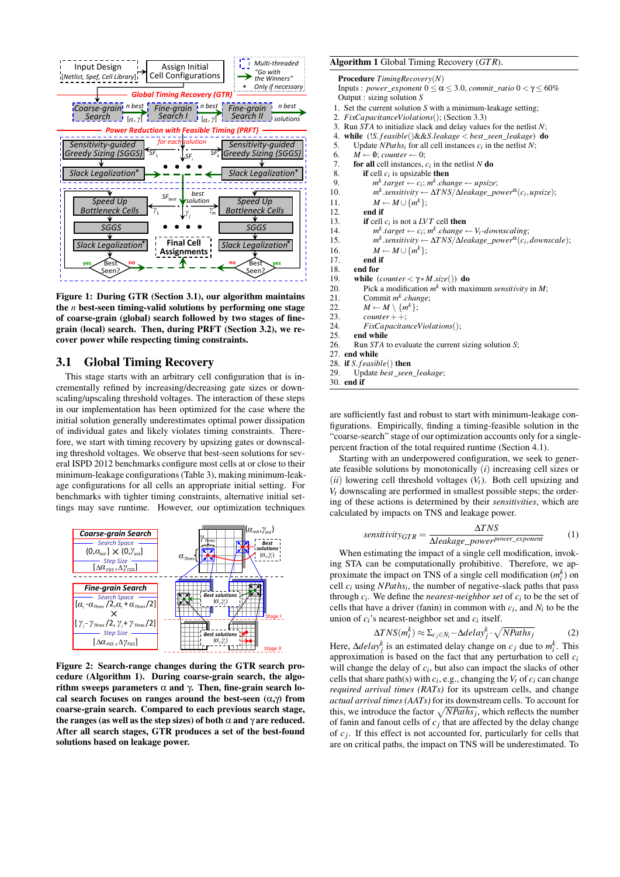

Figure 1: During GTR (Section 3.1), our algorithm maintains the *n* best-seen timing-valid solutions by performing one stage of coarse-grain (global) search followed by two stages of finegrain (local) search. Then, during PRFT (Section 3.2), we recover power while respecting timing constraints.

# 3.1 Global Timing Recovery

This stage starts with an arbitrary cell configuration that is incrementally refined by increasing/decreasing gate sizes or downscaling/upscaling threshold voltages. The interaction of these steps in our implementation has been optimized for the case where the initial solution generally underestimates optimal power dissipation of individual gates and likely violates timing constraints. Therefore, we start with timing recovery by upsizing gates or downscaling threshold voltages. We observe that best-seen solutions for several ISPD 2012 benchmarks configure most cells at or close to their minimum-leakage configurations (Table 3), making minimum-leakage configurations for all cells an appropriate initial setting. For benchmarks with tighter timing constraints, alternative initial settings may save runtime. However, our optimization techniques



Figure 2: Search-range changes during the GTR search procedure (Algorithm 1). During coarse-grain search, the algorithm sweeps parameters  $α$  and  $γ$ . Then, fine-grain search local search focuses on ranges around the best-seen  $(\alpha, \gamma)$  from coarse-grain search. Compared to each previous search stage, the ranges (as well as the step sizes) of both  $\alpha$  and  $\gamma$  are reduced. After all search stages, GTR produces a set of the best-found solutions based on leakage power.

#### Algorithm 1 Global Timing Recovery (*GT R*).

| <b>Procedure</b> $T$ <i>imingRecovery</i> ( $N$ )                                                                                  |
|------------------------------------------------------------------------------------------------------------------------------------|
| Inputs : power_exponent $0 \le \alpha \le 3.0$ , commit_ratio $0 \le \gamma \le 60\%$                                              |
| Output : sizing solution $S$                                                                                                       |
| 1. Set the current solution $S$ with a minimum-leakage setting;                                                                    |
| 2. FixCapacitanceViolations(); (Section 3.3)                                                                                       |
| 3. Run $STA$ to initialize slack and delay values for the netlist $N$ ;                                                            |
| 4. while $(!S. feasible() \&\&S. leakage < best\_seen\_leakage)$ do                                                                |
| 5.<br>Update <i>NPaths<sub>i</sub></i> for all cell instances $c_i$ in the netlist N;                                              |
| 6.<br>$M \leftarrow \emptyset$ ; counter $\leftarrow 0$ ;                                                                          |
| 7.<br>for all cell instances, $c_i$ in the netlist N do                                                                            |
| 8.<br>if cell $c_i$ is upsizable then                                                                                              |
| $m^k$ .target $\leftarrow c_i$ ; $m^k$ .change $\leftarrow$ upsize;<br>9.                                                          |
| $m^k$ .sensitivity $\leftarrow \Delta TNS/\Delta$ leakage_power <sup><math>\alpha</math></sup> (c <sub>i</sub> , upsize);<br>10.   |
| 11.                                                                                                                                |
| $M \leftarrow M \cup \{m^k\};$<br>12.<br>end if                                                                                    |
| 13.                                                                                                                                |
| if cell $c_i$ is not a LVT cell then                                                                                               |
| $m^k$ target $\leftarrow c_i$ ; $m^k$ change $\leftarrow V_t$ -downscaling;<br>14.                                                 |
| $m^k$ sensitivity $\leftarrow \Delta TNS/\Delta$ leakage_power <sup><math>\alpha</math></sup> (c <sub>i</sub> , downscale);<br>15. |
| $M \leftarrow M \cup \{m^k\};$<br>16.                                                                                              |
| end if<br>17.                                                                                                                      |
| end for<br>18.                                                                                                                     |
| while $\text{(counter} < \gamma * M.size())$ do<br>19.                                                                             |
| Pick a modification $m^k$ with maximum <i>sensitivity</i> in M;<br>20.                                                             |
| Commit $m^k$ .change;<br>21.                                                                                                       |
| $M \leftarrow M \setminus \{m^k\};$<br>22.                                                                                         |
| 23.<br>$counter++$                                                                                                                 |
| 24.<br>$FixCapacitance Violations$                                                                                                 |
| end while<br>25.                                                                                                                   |
| 26.<br>Run $STA$ to evaluate the current sizing solution $S$ ;                                                                     |
| 27. end while                                                                                                                      |
| 28. if S. $feasible()$ then                                                                                                        |
| Update best_seen_leakage;<br>29.                                                                                                   |
| 30. end if                                                                                                                         |

are sufficiently fast and robust to start with minimum-leakage configurations. Empirically, finding a timing-feasible solution in the "coarse-search" stage of our optimization accounts only for a singlepercent fraction of the total required runtime (Section 4.1).

Starting with an underpowered configuration, we seek to generate feasible solutions by monotonically (*i*) increasing cell sizes or (*ii*) lowering cell threshold voltages (*Vt*). Both cell upsizing and  $V_t$  downscaling are performed in smallest possible steps; the ordering of these actions is determined by their *sensitivities*, which are calculated by impacts on TNS and leakage power.

$$
sensitivity_{GTR} = \frac{\Delta TNS}{\Delta leakage\_power_{power\_exponent}} \tag{1}
$$

When estimating the impact of a single cell modification, invoking STA can be computationally prohibitive. Therefore, we approximate the impact on TNS of a single cell modification  $(m_i^k)$  on cell *ci* using *NPathsi* , the number of negative-slack paths that pass through  $c_i$ . We define the *nearest-neighbor set* of  $c_i$  to be the set of cells that have a driver (fanin) in common with  $c_i$ , and  $N_i$  to be the union of  $c_i$ 's nearest-neighbor set and  $c_i$  itself.

$$
\Delta TNS(m_i^k) \approx \Sigma_{c_j \in N_i} - \Delta delay_j^k \cdot \sqrt{NPaths_j}
$$
 (2)

Here,  $\Delta$ *delay*<sup>*k*</sup><sub>*j*</sub> is an estimated delay change on *c<sub>j</sub>* due to  $m_i^k$ . This approximation is based on the fact that any perturbation to cell *ci* will change the delay of  $c_i$ , but also can impact the slacks of other cells that share path(s) with  $c_i$ , e.g., changing the  $V_t$  of  $c_i$  can change *required arrival times (RATs)* for its upstream cells, and change *actual arrival times (AATs)* for its downstream cells. To account for this, we introduce the factor  $\sqrt{NPaths_j}$ , which reflects the number of fanin and fanout cells of  $c_j$  that are affected by the delay change of  $c_j$ . If this effect is not accounted for, particularly for cells that are on critical paths, the impact on TNS will be underestimated. To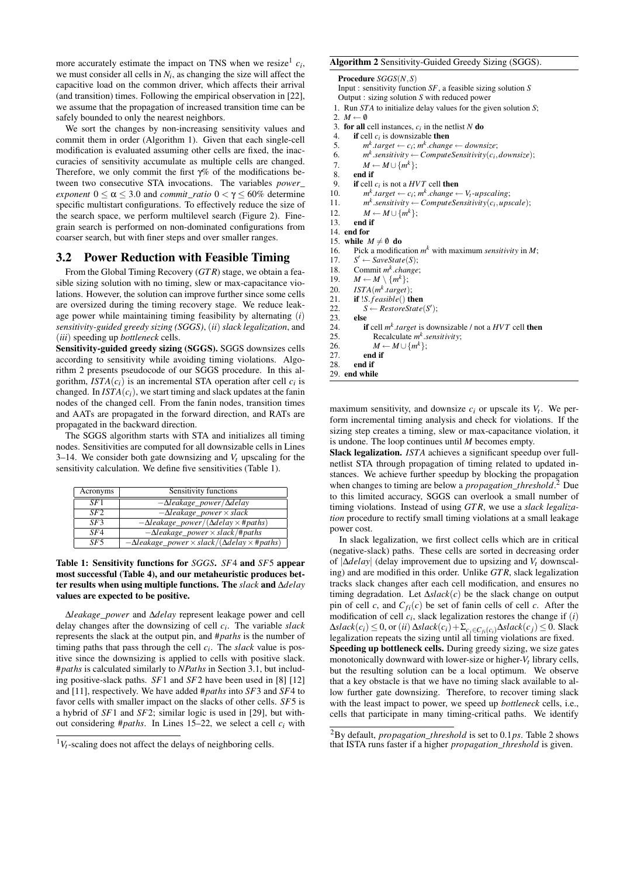more accurately estimate the impact on TNS when we resize<sup>1</sup>  $c_i$ , we must consider all cells in  $N_i$ , as changing the size will affect the capacitive load on the common driver, which affects their arrival (and transition) times. Following the empirical observation in [22], we assume that the propagation of increased transition time can be safely bounded to only the nearest neighbors.

We sort the changes by non-increasing sensitivity values and commit them in order (Algorithm 1). Given that each single-cell modification is evaluated assuming other cells are fixed, the inaccuracies of sensitivity accumulate as multiple cells are changed. Therefore, we only commit the first γ% of the modifications between two consecutive STA invocations. The variables *power*\_ *exponent*  $0 \le \alpha \le 3.0$  and *commit\_ratio*  $0 < \gamma \le 60\%$  determine specific multistart configurations. To effectively reduce the size of the search space, we perform multilevel search (Figure 2). Finegrain search is performed on non-dominated configurations from coarser search, but with finer steps and over smaller ranges.

#### 3.2 Power Reduction with Feasible Timing

From the Global Timing Recovery (*GT R*) stage, we obtain a feasible sizing solution with no timing, slew or max-capacitance violations. However, the solution can improve further since some cells are oversized during the timing recovery stage. We reduce leakage power while maintaining timing feasibility by alternating (*i*) *sensitivity-guided greedy sizing (SGGS)*, (*ii*) *slack legalization*, and (*iii*) speeding up *bottleneck* cells.

Sensitivity-guided greedy sizing (SGGS). SGGS downsizes cells according to sensitivity while avoiding timing violations. Algorithm 2 presents pseudocode of our SGGS procedure. In this algorithm,  $ISTA(c_i)$  is an incremental STA operation after cell  $c_i$  is changed. In  $ISTA(c_i)$ , we start timing and slack updates at the fanin nodes of the changed cell. From the fanin nodes, transition times and AATs are propagated in the forward direction, and RATs are propagated in the backward direction.

The SGGS algorithm starts with STA and initializes all timing nodes. Sensitivities are computed for all downsizable cells in Lines 3–14. We consider both gate downsizing and  $V_t$  upscaling for the sensitivity calculation. We define five sensitivities (Table 1).

| Acronyms | Sensitivity functions                                      |
|----------|------------------------------------------------------------|
| SF1      | $-\Delta$ leakage_power/ $\Delta$ delay                    |
| SF2      | $-\Delta$ leakage_power $\times$ slack                     |
| $SF$ 3   | $-\Delta$ leakage_power/( $\Delta$ delay $\times$ #paths)  |
| SFA      | $-\Delta$ leakage_power $\times$ slack/#paths              |
| $S$ F5   | $-\Delta$ leakage_power × slack/( $\Delta$ delay × #paths) |

#### Table 1: Sensitivity functions for *SGGS*. *SF*4 and *SF*5 appear most successful (Table 4), and our metaheuristic produces better results when using multiple functions. The *slack* and ∆*delay* values are expected to be positive.

∆*leakage*\_*power* and ∆*delay* represent leakage power and cell delay changes after the downsizing of cell *ci* . The variable *slack* represents the slack at the output pin, and #*paths* is the number of timing paths that pass through the cell *ci* . The *slack* value is positive since the downsizing is applied to cells with positive slack. #*paths* is calculated similarly to *NPaths* in Section 3.1, but including positive-slack paths. *SF*1 and *SF*2 have been used in [8] [12] and [11], respectively. We have added #*paths* into *SF*3 and *SF*4 to favor cells with smaller impact on the slacks of other cells. *SF*5 is a hybrid of *SF*1 and *SF*2; similar logic is used in [29], but without considering #*paths*. In Lines 15–22, we select a cell *ci* with

```
Algorithm 2 Sensitivity-Guided Greedy Sizing (SGGS).
   Procedure SGGS(N,S)
   Input : sensitivity function SF, a feasible sizing solution S
  Output : sizing solution S with reduced power
 1. Run STA to initialize delay values for the given solution S;
 2. M \leftarrow \emptyset3. for all cell instances, c_i in the netlist N do
 4. if cell c_i is downsizable then
 5. m^k \cdot target \leftarrow c_i; m^k \cdot change \leftarrow downsize;6. m^k sensitivity \leftarrow ComputeSensitivity(c_i, downsize);
 7. M \leftarrow M \cup \{m^k\};8. end if
 9. if cell c_i is not a HVT cell then
10. m
             k<sup>k</sup> target \leftarrow c_i; m<sup>k</sup> change \leftarrow V_t-upscaling;
11. m
             k.sensitivity ← ComputeSensitivity(c_i, upscale);
12. M \leftarrow M \cup \{m^k\};13. end if
14. end for
15. while M \neq \emptyset do<br>16 Pick a modific
16. Pick a modification m^k with maximum sensitivity in M;
17. S
        S' \leftarrow SaveState(S);
18. Commit m
k
.change;
19. M \leftarrow M \setminus \{m^k\};20. ISTA(m
k
.target);
21. if !S. f easible() then
22. S \leftarrow \text{RestoreState}(S');
23. else<br>24. if
24. if cell m^k target is downsizable / not a HVT cell then
25. Recalculate m
k
.sensitivity;
26. M \leftarrow M \cup \{m^k\};27. end if
28. end if
29. end while
```
maximum sensitivity, and downsize  $c_i$  or upscale its  $V_t$ . We perform incremental timing analysis and check for violations. If the sizing step creates a timing, slew or max-capacitance violation, it is undone. The loop continues until *M* becomes empty.

Slack legalization. *ISTA* achieves a significant speedup over fullnetlist STA through propagation of timing related to updated instances. We achieve further speedup by blocking the propagation when changes to timing are below a *propagation*\_*threshold*. <sup>2</sup> Due to this limited accuracy, SGGS can overlook a small number of timing violations. Instead of using *GT R*, we use a *slack legalization* procedure to rectify small timing violations at a small leakage power cost.

In slack legalization, we first collect cells which are in critical (negative-slack) paths. These cells are sorted in decreasing order of |∆*delay*| (delay improvement due to upsizing and *V<sup>t</sup>* downscaling) and are modified in this order. Unlike *GT R*, slack legalization tracks slack changes after each cell modification, and ensures no timing degradation. Let ∆*slack*(*c*) be the slack change on output pin of cell *c*, and  $C_{fi}(c)$  be set of fanin cells of cell *c*. After the modification of cell *ci* , slack legalization restores the change if (*i*)  $\Delta slack(c_i) \leq 0$ , or (*ii*)  $\Delta slack(c_i) + \sum_{c_j \in C_{fi}(c_i)} \Delta slack(c_j) \leq 0$ . Slack legalization repeats the sizing until all timing violations are fixed. Speeding up bottleneck cells. During greedy sizing, we size gates monotonically downward with lower-size or higher-*Vt* library cells, but the resulting solution can be a local optimum. We observe that a key obstacle is that we have no timing slack available to allow further gate downsizing. Therefore, to recover timing slack with the least impact to power, we speed up *bottleneck* cells, i.e., cells that participate in many timing-critical paths. We identify

 $1_{V_t}$ -scaling does not affect the delays of neighboring cells.

<sup>2</sup>By default, *propagation*\_*threshold* is set to 0.1*ps*. Table 2 shows that ISTA runs faster if a higher *propagation*\_*threshold* is given.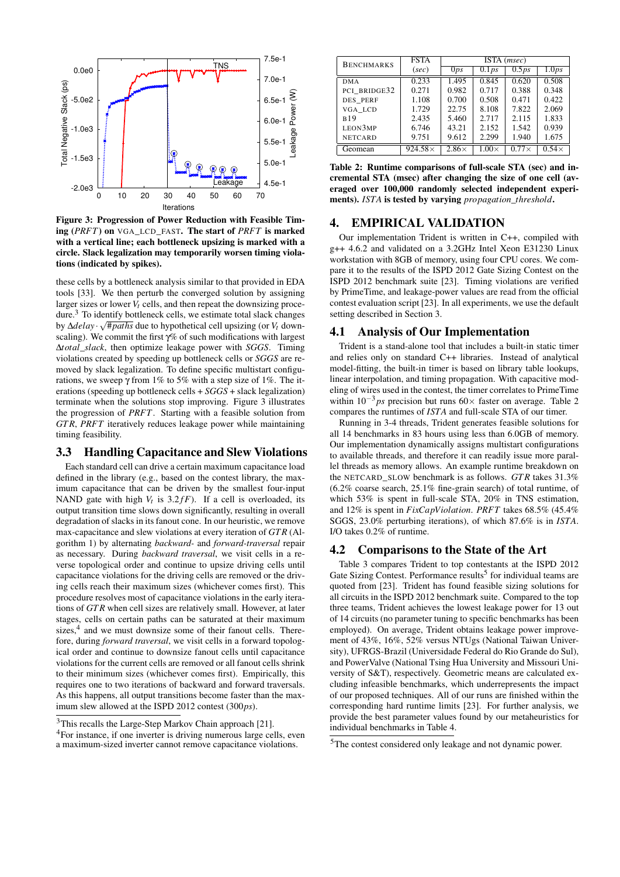

Figure 3: Progression of Power Reduction with Feasible Timing (*PRFT*) on VGA\_LCD\_FAST. The start of *PRFT* is marked with a vertical line; each bottleneck upsizing is marked with a circle. Slack legalization may temporarily worsen timing violations (indicated by spikes).

these cells by a bottleneck analysis similar to that provided in EDA tools [33]. We then perturb the converged solution by assigning larger sizes or lower  $V_t$  cells, and then repeat the downsizing procedure.<sup>3</sup> To identify bottleneck cells, we estimate total slack changes by ∆*delay* · #*paths* due to hypothetical cell upsizing (or *Vt* downscaling). We commit the first γ% of such modifications with largest ∆*total*\_*slack*, then optimize leakage power with *SGGS*. Timing violations created by speeding up bottleneck cells or *SGGS* are removed by slack legalization. To define specific multistart configurations, we sweep γ from 1% to 5% with a step size of 1%. The iterations (speeding up bottleneck cells + *SGGS* + slack legalization) terminate when the solutions stop improving. Figure 3 illustrates the progression of *PRFT*. Starting with a feasible solution from *GT R*, *PRFT* iteratively reduces leakage power while maintaining timing feasibility.

# 3.3 Handling Capacitance and Slew Violations

Each standard cell can drive a certain maximum capacitance load defined in the library (e.g., based on the contest library, the maximum capacitance that can be driven by the smallest four-input NAND gate with high  $V_t$  is 3.2 $f$ F). If a cell is overloaded, its output transition time slows down significantly, resulting in overall degradation of slacks in its fanout cone. In our heuristic, we remove max-capacitance and slew violations at every iteration of *GT R* (Algorithm 1) by alternating *backward-* and *forward-traversal* repair as necessary. During *backward traversal*, we visit cells in a reverse topological order and continue to upsize driving cells until capacitance violations for the driving cells are removed or the driving cells reach their maximum sizes (whichever comes first). This procedure resolves most of capacitance violations in the early iterations of *GT R* when cell sizes are relatively small. However, at later stages, cells on certain paths can be saturated at their maximum sizes,<sup>4</sup> and we must downsize some of their fanout cells. Therefore, during *forward traversal*, we visit cells in a forward topological order and continue to downsize fanout cells until capacitance violations for the current cells are removed or all fanout cells shrink to their minimum sizes (whichever comes first). Empirically, this requires one to two iterations of backward and forward traversals. As this happens, all output transitions become faster than the maximum slew allowed at the ISPD 2012 contest (300*ps*).

| <b>BENCHMARKS</b> | <b>FSTA</b>    | ISTA ( <i>msec</i> ) |              |              |                            |
|-------------------|----------------|----------------------|--------------|--------------|----------------------------|
|                   | (sec)          | 0 <sub>ps</sub>      | 0.1 ps       | 0.5 ps       | $\overline{1.0} \text{ps}$ |
| <b>DMA</b>        | 0.233          | 1.495                | 0.845        | 0.620        | 0.508                      |
| PCI BRIDGE32      | 0.271          | 0.982                | 0.717        | 0.388        | 0.348                      |
| DES PERF          | 1.108          | 0.700                | 0.508        | 0.471        | 0.422                      |
| VGA LCD           | 1.729          | 22.75                | 8.108        | 7.822        | 2.069                      |
| <b>B19</b>        | 2.435          | 5.460                | 2.717        | 2.115        | 1.833                      |
| LEON3MP           | 6.746          | 43.21                | 2.152        | 1.542        | 0.939                      |
| <b>NETCARD</b>    | 9.751          | 9.612                | 2.299        | 1.940        | 1.675                      |
| Geomean           | $924.58\times$ | $2.86\times$         | $1.00\times$ | $0.77\times$ | $0.54\times$               |

Table 2: Runtime comparisons of full-scale STA (sec) and incremental STA (msec) after changing the size of one cell (averaged over 100,000 randomly selected independent experiments). *ISTA* is tested by varying *propagation*\_*threshold*.

#### 4. EMPIRICAL VALIDATION

Our implementation Trident is written in C++, compiled with g++ 4.6.2 and validated on a 3.2GHz Intel Xeon E31230 Linux workstation with 8GB of memory, using four CPU cores. We compare it to the results of the ISPD 2012 Gate Sizing Contest on the ISPD 2012 benchmark suite [23]. Timing violations are verified by PrimeTime, and leakage-power values are read from the official contest evaluation script [23]. In all experiments, we use the default setting described in Section 3.

#### 4.1 Analysis of Our Implementation

Trident is a stand-alone tool that includes a built-in static timer and relies only on standard C++ libraries. Instead of analytical model-fitting, the built-in timer is based on library table lookups, linear interpolation, and timing propagation. With capacitive modeling of wires used in the contest, the timer correlates to PrimeTime within 10<sup>-3</sup> *ps* precision but runs 60× faster on average. Table 2 compares the runtimes of *ISTA* and full-scale STA of our timer.

Running in 3-4 threads, Trident generates feasible solutions for all 14 benchmarks in 83 hours using less than 6.0GB of memory. Our implementation dynamically assigns multistart configurations to available threads, and therefore it can readily issue more parallel threads as memory allows. An example runtime breakdown on the NETCARD SLOW benchmark is as follows. *GTR* takes 31.3% (6.2% coarse search, 25.1% fine-grain search) of total runtime, of which 53% is spent in full-scale STA, 20% in TNS estimation, and 12% is spent in *FixCapViolation*. *PRFT* takes 68.5% (45.4% SGGS, 23.0% perturbing iterations), of which 87.6% is in *ISTA*. I/O takes 0.2% of runtime.

#### 4.2 Comparisons to the State of the Art

Table 3 compares Trident to top contestants at the ISPD 2012 Gate Sizing Contest. Performance results<sup>5</sup> for individual teams are quoted from [23]. Trident has found feasible sizing solutions for all circuits in the ISPD 2012 benchmark suite. Compared to the top three teams, Trident achieves the lowest leakage power for 13 out of 14 circuits (no parameter tuning to specific benchmarks has been employed). On average, Trident obtains leakage power improvement of 43%, 16%, 52% versus NTUgs (National Taiwan University), UFRGS-Brazil (Universidade Federal do Rio Grande do Sul), and PowerValve (National Tsing Hua University and Missouri University of S&T), respectively. Geometric means are calculated excluding infeasible benchmarks, which underrepresents the impact of our proposed techniques. All of our runs are finished within the corresponding hard runtime limits [23]. For further analysis, we provide the best parameter values found by our metaheuristics for individual benchmarks in Table 4.

<sup>&</sup>lt;sup>3</sup>This recalls the Large-Step Markov Chain approach [21].

<sup>4</sup>For instance, if one inverter is driving numerous large cells, even a maximum-sized inverter cannot remove capacitance violations.

<sup>5</sup>The contest considered only leakage and not dynamic power.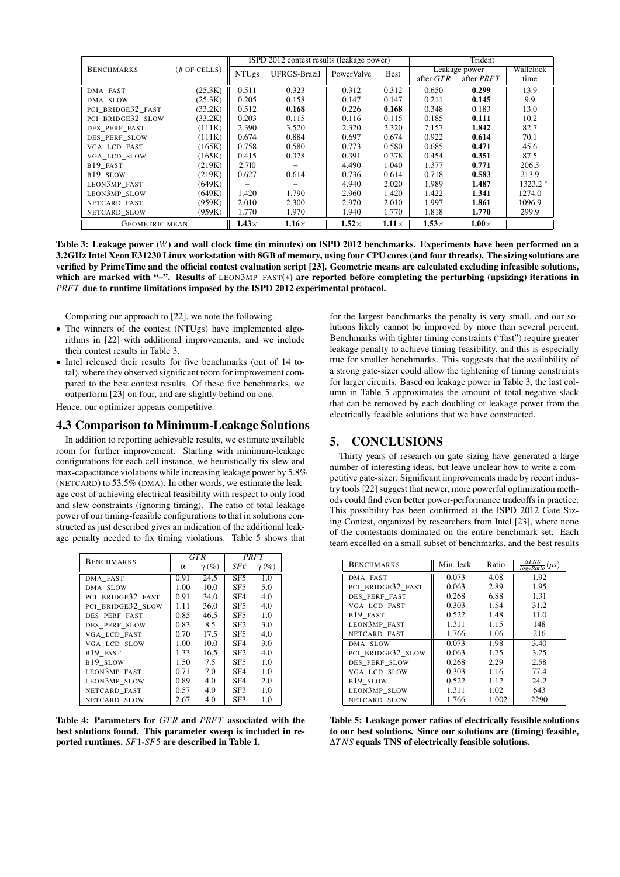|                       |                 | ISPD 2012 contest results (leakage power) |                     |              |              | Trident       |              |           |
|-----------------------|-----------------|-------------------------------------------|---------------------|--------------|--------------|---------------|--------------|-----------|
| <b>BENCHMARKS</b>     | $(\#$ OF CELLS) | <b>NTUgs</b>                              | <b>UFRGS-Brazil</b> | PowerValve   | <b>Best</b>  | Leakage power |              | Wallclock |
|                       |                 |                                           |                     |              |              | after GTR     | after PRFT   | time      |
| DMA_FAST              | (25.3K)         | 0.511                                     | 0.323               | 0.312        | 0.312        | 0.650         | 0.299        | 13.9      |
| DMA SLOW              | (25.3K)         | 0.205                                     | 0.158               | 0.147        | 0.147        | 0.211         | 0.145        | 9.9       |
| PCI BRIDGE32 FAST     | (33.2K)         | 0.512                                     | 0.168               | 0.226        | 0.168        | 0.348         | 0.183        | 13.0      |
| PCI BRIDGE32 SLOW     | (33.2K)         | 0.203                                     | 0.115               | 0.116        | 0.115        | 0.185         | 0.111        | 10.2      |
| DES PERF FAST         | (111K)          | 2.390                                     | 3.520               | 2.320        | 2.320        | 7.157         | 1.842        | 82.7      |
| DES PERF SLOW         | (111K)          | 0.674                                     | 0.884               | 0.697        | 0.674        | 0.922         | 0.614        | 70.1      |
| VGA LCD FAST          | (165K)          | 0.758                                     | 0.580               | 0.773        | 0.580        | 0.685         | 0.471        | 45.6      |
| VGA LCD SLOW          | (165K)          | 0.415                                     | 0.378               | 0.391        | 0.378        | 0.454         | 0.351        | 87.5      |
| B <sub>19</sub> FAST  | (219K)          | 2.710                                     |                     | 4.490        | 1.040        | 1.377         | 0.771        | 206.5     |
| B19 SLOW              | (219K)          | 0.627                                     | 0.614               | 0.736        | 0.614        | 0.718         | 0.583        | 213.9     |
| LEON3MP FAST          | (649K)          |                                           |                     | 4.940        | 2.020        | 1.989         | 1.487        | $1323.2*$ |
| LEON3MP_SLOW          | (649K)          | 1.420                                     | 1.790               | 2.960        | 1.420        | 1.422         | 1.341        | 1274.0    |
| NETCARD FAST          | (959K)          | 2.010                                     | 2.300               | 2.970        | 2.010        | 1.997         | 1.861        | 1096.9    |
| NETCARD SLOW          | (959K)          | 1.770                                     | 1.970               | 1.940        | 1.770        | 1.818         | 1.770        | 299.9     |
| <b>GEOMETRIC MEAN</b> |                 | $1.43\times$                              | $1.16\times$        | $1.52\times$ | $1.11\times$ | $1.53\times$  | $1.00\times$ |           |

Table 3: Leakage power (*W*) and wall clock time (in minutes) on ISPD 2012 benchmarks. Experiments have been performed on a 3.2GHz Intel Xeon E31230 Linux workstation with 8GB of memory, using four CPU cores (and four threads). The sizing solutions are verified by PrimeTime and the official contest evaluation script [23]. Geometric means are calculated excluding infeasible solutions, which are marked with "-". Results of LEON3MP\_FAST(\*) are reported before completing the perturbing (upsizing) iterations in *PRFT* due to runtime limitations imposed by the ISPD 2012 experimental protocol.

Comparing our approach to [22], we note the following.

- The winners of the contest (NTUgs) have implemented algorithms in [22] with additional improvements, and we include their contest results in Table 3.
- Intel released their results for five benchmarks (out of 14 total), where they observed significant room for improvement compared to the best contest results. Of these five benchmarks, we outperform [23] on four, and are slightly behind on one.

Hence, our optimizer appears competitive.

# 4.3 Comparison to Minimum-Leakage Solutions

In addition to reporting achievable results, we estimate available room for further improvement. Starting with minimum-leakage configurations for each cell instance, we heuristically fix slew and max-capacitance violations while increasing leakage power by 5.8% (NETCARD) to 53.5% (DMA). In other words, we estimate the leakage cost of achieving electrical feasibility with respect to only load and slew constraints (ignoring timing). The ratio of total leakage power of our timing-feasible configurations to that in solutions constructed as just described gives an indication of the additional leakage penalty needed to fix timing violations. Table 5 shows that

| <b>BENCHMARKS</b> | <b>GTR</b> |              |                 | PRFT         |
|-------------------|------------|--------------|-----------------|--------------|
|                   | α          | $\gamma(\%)$ | SF#             | $\gamma(\%)$ |
| DMA FAST          | 0.91       | 24.5         | SF <sub>5</sub> | 1.0          |
| DMA SLOW          | 1.00       | 10.0         | SF <sub>5</sub> | 5.0          |
| PCI BRIDGE32 FAST | 0.91       | 34.0         | SF <sub>4</sub> | 4.0          |
| PCI BRIDGE32 SLOW | 1.11       | 36.0         | SF <sub>5</sub> | 4.0          |
| DES PERF FAST     | 0.85       | 46.5         | SF <sub>5</sub> | 1.0          |
| DES PERF SLOW     | 0.83       | 8.5          | SF <sub>2</sub> | 3.0          |
| VGA LCD FAST      | 0.70       | 17.5         | SF <sub>5</sub> | 4.0          |
| VGA LCD SLOW      | 1.00       | 10.0         | SF <sub>4</sub> | 3.0          |
| B19 FAST          | 1.33       | 16.5         | SF <sub>2</sub> | 4.0          |
| B19 SLOW          | 1.50       | 7.5          | SF <sub>5</sub> | 1.0          |
| LEON3MP FAST      | 0.71       | 7.0          | SF <sub>4</sub> | 1.0          |
| LEON3MP SLOW      | 0.89       | 4.0          | SF <sub>4</sub> | 2.0          |
| NETCARD FAST      | 0.57       | 4.0          | SF3             | 1.0          |
| NETCARD SLOW      | 2.67       | 4.0          | SF3             | 1.0          |

Table 4: Parameters for *GT R* and *PRFT* associated with the best solutions found. This parameter sweep is included in reported runtimes. *SF*1-*SF*5 are described in Table 1.

for the largest benchmarks the penalty is very small, and our solutions likely cannot be improved by more than several percent. Benchmarks with tighter timing constraints ("fast") require greater leakage penalty to achieve timing feasibility, and this is especially true for smaller benchmarks. This suggests that the availability of a strong gate-sizer could allow the tightening of timing constraints for larger circuits. Based on leakage power in Table 3, the last column in Table 5 approximates the amount of total negative slack that can be removed by each doubling of leakage power from the electrically feasible solutions that we have constructed.

#### 5. CONCLUSIONS

Thirty years of research on gate sizing have generated a large number of interesting ideas, but leave unclear how to write a competitive gate-sizer. Significant improvements made by recent industry tools [22] suggest that newer, more powerful optimization methods could find even better power-performance tradeoffs in practice. This possibility has been confirmed at the ISPD 2012 Gate Sizing Contest, organized by researchers from Intel [23], where none of the contestants dominated on the entire benchmark set. Each team excelled on a small subset of benchmarks, and the best results

| <b>BENCHMARKS</b>    | Min. leak. | Ratio | $\frac{1}{\log_2 Ratic}(\mu s)$ |
|----------------------|------------|-------|---------------------------------|
| DMA FAST             | 0.073      | 4.08  | 1.92                            |
| PCI BRIDGE32 FAST    | 0.063      | 2.89  | 1.95                            |
| DES PERF FAST        | 0.268      | 6.88  | 1.31                            |
| VGA LCD FAST         | 0.303      | 1.54  | 31.2                            |
| B <sub>19</sub> FAST | 0.522      | 1.48  | 11.0                            |
| LEON3MP FAST         | 1.311      | 1.15  | 148                             |
| NETCARD FAST         | 1.766      | 1.06  | 216                             |
| DMA SLOW             | 0.073      | 1.98  | 3.40                            |
| PCI BRIDGE32 SLOW    | 0.063      | 1.75  | 3.25                            |
| DES PERF SLOW        | 0.268      | 2.29  | 2.58                            |
| VGA_LCD_SLOW         | 0.303      | 1.16  | 77.4                            |
| B <sub>19</sub> SLOW | 0.522      | 1.12  | 24.2                            |
| LEON3MP SLOW         | 1.311      | 1.02  | 643                             |
| NETCARD SLOW         | 1.766      | 1.002 | 2290                            |

Table 5: Leakage power ratios of electrically feasible solutions to our best solutions. Since our solutions are (timing) feasible, ∆*TNS* equals TNS of electrically feasible solutions.